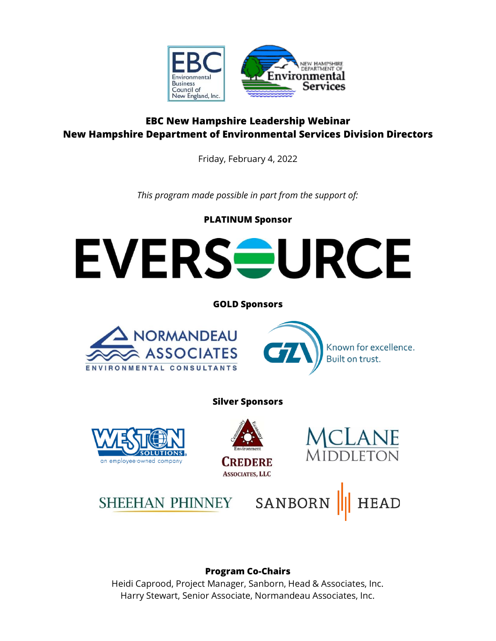

# **EBC New Hampshire Leadership Webinar New Hampshire Department of Environmental Services Division Directors**

Friday, February 4, 2022

*This program made possible in part from the support of:*

**PLATINUM Sponsor**



# **Program Co-Chairs**

Heidi Caprood, Project Manager, Sanborn, Head & Associates, Inc. Harry Stewart, Senior Associate, Normandeau Associates, Inc.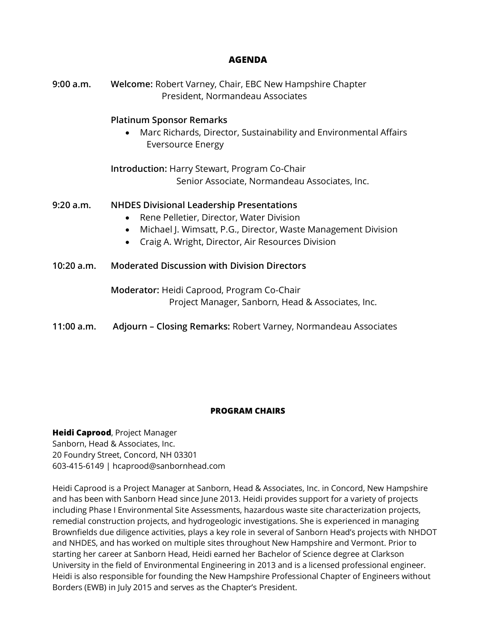## **AGENDA**

| 9:00 a.m.  | Welcome: Robert Varney, Chair, EBC New Hampshire Chapter<br>President, Normandeau Associates                                                                                                                                                 |
|------------|----------------------------------------------------------------------------------------------------------------------------------------------------------------------------------------------------------------------------------------------|
|            | <b>Platinum Sponsor Remarks</b><br>Marc Richards, Director, Sustainability and Environmental Affairs<br><b>Eversource Energy</b>                                                                                                             |
|            | <b>Introduction: Harry Stewart, Program Co-Chair</b><br>Senior Associate, Normandeau Associates, Inc.                                                                                                                                        |
|            |                                                                                                                                                                                                                                              |
| 9:20 a.m.  | <b>NHDES Divisional Leadership Presentations</b><br>Rene Pelletier, Director, Water Division<br>$\bullet$<br>Michael J. Wimsatt, P.G., Director, Waste Management Division<br>$\bullet$<br>Craig A. Wright, Director, Air Resources Division |
| 10:20 a.m. | <b>Moderated Discussion with Division Directors</b>                                                                                                                                                                                          |
|            | Moderator: Heidi Caprood, Program Co-Chair<br>Project Manager, Sanborn, Head & Associates, Inc.                                                                                                                                              |
| 11:00 a.m. | Adjourn - Closing Remarks: Robert Varney, Normandeau Associates                                                                                                                                                                              |

### **PROGRAM CHAIRS**

**Heidi Caprood**, Project Manager Sanborn, Head & Associates, Inc. 20 Foundry Street, Concord, NH 03301 603-415-6149 | hcaprood@sanbornhead.com

Heidi Caprood is a Project Manager at Sanborn, Head & Associates, Inc. in Concord, New Hampshire and has been with Sanborn Head since June 2013. Heidi provides support for a variety of projects including Phase I Environmental Site Assessments, hazardous waste site characterization projects, remedial construction projects, and hydrogeologic investigations. She is experienced in managing Brownfields due diligence activities, plays a key role in several of Sanborn Head's projects with NHDOT and NHDES, and has worked on multiple sites throughout New Hampshire and Vermont. Prior to starting her career at Sanborn Head, Heidi earned her Bachelor of Science degree at Clarkson University in the field of Environmental Engineering in 2013 and is a licensed professional engineer. Heidi is also responsible for founding the New Hampshire Professional Chapter of Engineers without Borders (EWB) in July 2015 and serves as the Chapter's President.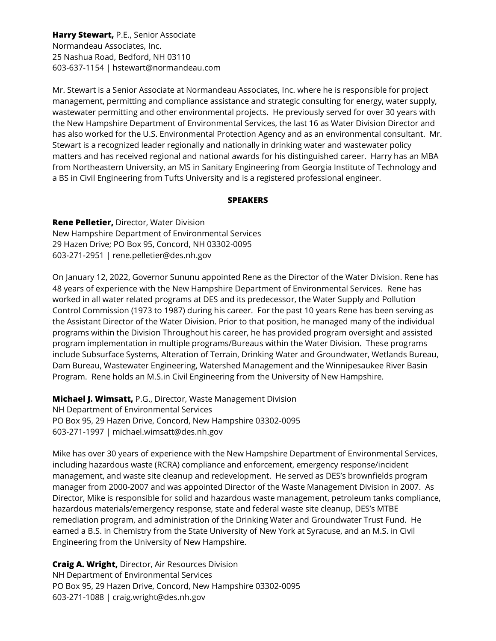**Harry Stewart,** P.E., Senior Associate Normandeau Associates, Inc. 25 Nashua Road, Bedford, NH 03110 603-637-1154 | hstewart@normandeau.com

Mr. Stewart is a Senior Associate at Normandeau Associates, Inc. where he is responsible for project management, permitting and compliance assistance and strategic consulting for energy, water supply, wastewater permitting and other environmental projects. He previously served for over 30 years with the New Hampshire Department of Environmental Services, the last 16 as Water Division Director and has also worked for the U.S. Environmental Protection Agency and as an environmental consultant. Mr. Stewart is a recognized leader regionally and nationally in drinking water and wastewater policy matters and has received regional and national awards for his distinguished career. Harry has an MBA from Northeastern University, an MS in Sanitary Engineering from Georgia Institute of Technology and a BS in Civil Engineering from Tufts University and is a registered professional engineer.

### **SPEAKERS**

**Rene Pelletier,** Director, Water Division New Hampshire Department of Environmental Services 29 Hazen Drive; PO Box 95, Concord, NH 03302-0095 603-271-2951 | rene.pelletier@des.nh.gov

On January 12, 2022, Governor Sununu appointed Rene as the Director of the Water Division. Rene has 48 years of experience with the New Hampshire Department of Environmental Services. Rene has worked in all water related programs at DES and its predecessor, the Water Supply and Pollution Control Commission (1973 to 1987) during his career. For the past 10 years Rene has been serving as the Assistant Director of the Water Division. Prior to that position, he managed many of the individual programs within the Division Throughout his career, he has provided program oversight and assisted program implementation in multiple programs/Bureaus within the Water Division. These programs include Subsurface Systems, Alteration of Terrain, Drinking Water and Groundwater, Wetlands Bureau, Dam Bureau, Wastewater Engineering, Watershed Management and the Winnipesaukee River Basin Program. Rene holds an M.S.in Civil Engineering from the University of New Hampshire.

**Michael J. Wimsatt,** P.G., Director, Waste Management Division NH Department of Environmental Services PO Box 95, 29 Hazen Drive, Concord, New Hampshire 03302-0095 603-271-1997 | michael.wimsatt@des.nh.gov

Mike has over 30 years of experience with the New Hampshire Department of Environmental Services, including hazardous waste (RCRA) compliance and enforcement, emergency response/incident management, and waste site cleanup and redevelopment. He served as DES's brownfields program manager from 2000-2007 and was appointed Director of the Waste Management Division in 2007. As Director, Mike is responsible for solid and hazardous waste management, petroleum tanks compliance, hazardous materials/emergency response, state and federal waste site cleanup, DES's MTBE remediation program, and administration of the Drinking Water and Groundwater Trust Fund. He earned a B.S. in Chemistry from the State University of New York at Syracuse, and an M.S. in Civil Engineering from the University of New Hampshire.

**Craig A. Wright,** Director, Air Resources Division NH Department of Environmental Services PO Box 95, 29 Hazen Drive, Concord, New Hampshire 03302-0095 603-271-1088 | craig.wright@des.nh.gov